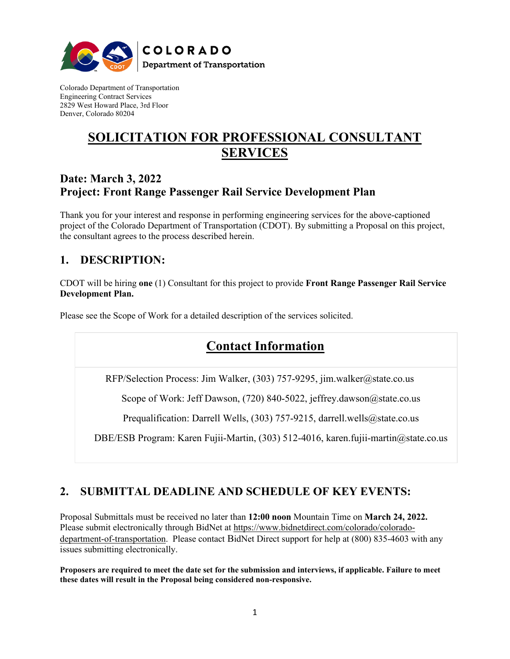

Colorado Department of Transportation Engineering Contract Services 2829 West Howard Place, 3rd Floor Denver, Colorado 80204

# **SOLICITATION FOR PROFESSIONAL CONSULTANT SERVICES**

## **Date: March 3, 2022 Project: Front Range Passenger Rail Service Development Plan**

Thank you for your interest and response in performing engineering services for the above-captioned project of the Colorado Department of Transportation (CDOT). By submitting a Proposal on this project, the consultant agrees to the process described herein.

## **1. DESCRIPTION:**

CDOT will be hiring **one** (1) Consultant for this project to provide **Front Range Passenger Rail Service Development Plan.** 

Please see the Scope of Work for a detailed description of the services solicited.

# **Contact Information**

RFP/Selection Process: Jim Walker, (303) 757-9295, jim.walker@state.co.us

Scope of Work: Jeff Dawson, (720) 840-5022, jeffrey.dawson@state.co.us

Prequalification: Darrell Wells, (303) 757-9215, darrell.wells@state.co.us

DBE/ESB Program: Karen Fujii-Martin, (303) 512-4016, karen.fujii-martin@state.co.us

## **2. SUBMITTAL DEADLINE AND SCHEDULE OF KEY EVENTS:**

Proposal Submittals must be received no later than **12:00 noon** Mountain Time on **March 24, 2022.** Please submit electronically through BidNet at [https://www.bidnetdirect.com/colorado/colorado](https://www.bidnetdirect.com/colorado/colorado-department-of-transportation)[department-of-transportation.](https://www.bidnetdirect.com/colorado/colorado-department-of-transportation) Please contact BidNet Direct support for help at (800) 835-4603 with any issues submitting electronically.

**Proposers are required to meet the date set for the submission and interviews, if applicable. Failure to meet these dates will result in the Proposal being considered non-responsive.**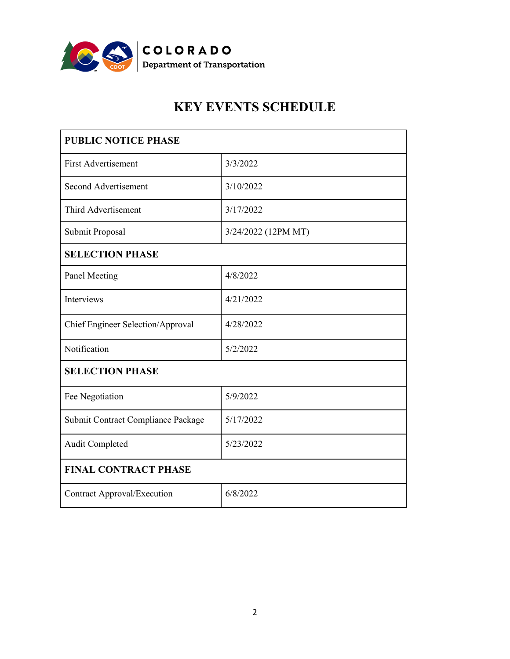

# **KEY EVENTS SCHEDULE**

| <b>PUBLIC NOTICE PHASE</b>         |                     |
|------------------------------------|---------------------|
| <b>First Advertisement</b>         | 3/3/2022            |
| Second Advertisement               | 3/10/2022           |
| Third Advertisement                | 3/17/2022           |
| Submit Proposal                    | 3/24/2022 (12PM MT) |
| <b>SELECTION PHASE</b>             |                     |
| Panel Meeting                      | 4/8/2022            |
| Interviews                         | 4/21/2022           |
| Chief Engineer Selection/Approval  | 4/28/2022           |
| Notification                       | 5/2/2022            |
| <b>SELECTION PHASE</b>             |                     |
| Fee Negotiation                    | 5/9/2022            |
| Submit Contract Compliance Package | 5/17/2022           |
| Audit Completed                    | 5/23/2022           |
| <b>FINAL CONTRACT PHASE</b>        |                     |
| <b>Contract Approval/Execution</b> | 6/8/2022            |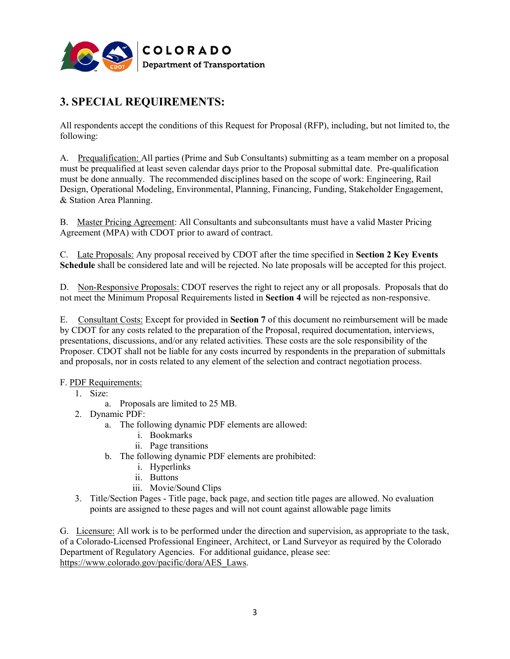

## **3. SPECIAL REQUIREMENTS:**

All respondents accept the conditions of this Request for Proposal (RFP), including, but not limited to, the following:

A. Prequalification: All parties (Prime and Sub Consultants) submitting as a team member on a proposal must be prequalified at least seven calendar days prior to the Proposal submittal date. Pre-qualification must be done annually. The recommended disciplines based on the scope of work: Engineering, Rail Design, Operational Modeling, Environmental, Planning, Financing, Funding, Stakeholder Engagement, & Station Area Planning.

B. Master Pricing Agreement: All Consultants and subconsultants must have a valid Master Pricing Agreement (MPA) with CDOT prior to award of contract.

C. Late Proposals: Any proposal received by CDOT after the time specified in **Section 2 Key Events Schedule** shall be considered late and will be rejected. No late proposals will be accepted for this project.

D. Non-Responsive Proposals: CDOT reserves the right to reject any or all proposals. Proposals that do not meet the Minimum Proposal Requirements listed in **Section 4** will be rejected as non-responsive.

E. Consultant Costs: Except for provided in **Section 7** of this document no reimbursement will be made by CDOT for any costs related to the preparation of the Proposal, required documentation, interviews, presentations, discussions, and/or any related activities. These costs are the sole responsibility of the Proposer. CDOT shall not be liable for any costs incurred by respondents in the preparation of submittals and proposals, nor in costs related to any element of the selection and contract negotiation process.

#### F. PDF Requirements:

- 1. Size:
	- a. Proposals are limited to 25 MB.
- 2. Dynamic PDF:
	- a. The following dynamic PDF elements are allowed:
		- i. Bookmarks
		- ii. Page transitions
	- b. The following dynamic PDF elements are prohibited:
		- i. Hyperlinks
		- ii. Buttons
		- iii. Movie/Sound Clips
- 3. Title/Section Pages Title page, back page, and section title pages are allowed. No evaluation points are assigned to these pages and will not count against allowable page limits

G. Licensure: All work is to be performed under the direction and supervision, as appropriate to the task, of a Colorado-Licensed Professional Engineer, Architect, or Land Surveyor as required by the Colorado Department of Regulatory Agencies. For additional guidance, please see: [https://www.colorado.gov/pacific/dora/AES\\_Laws.](https://www.colorado.gov/pacific/dora/AES_Laws)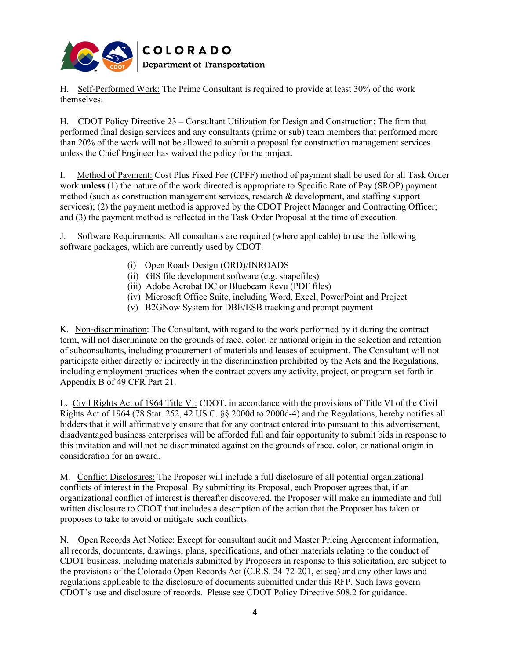

H. Self-Performed Work: The Prime Consultant is required to provide at least 30% of the work themselves.

H. CDOT Policy Directive 23 – Consultant Utilization for Design and Construction: The firm that performed final design services and any consultants (prime or sub) team members that performed more than 20% of the work will not be allowed to submit a proposal for construction management services unless the Chief Engineer has waived the policy for the project.

I. Method of Payment: Cost Plus Fixed Fee (CPFF) method of payment shall be used for all Task Order work **unless** (1) the nature of the work directed is appropriate to Specific Rate of Pay (SROP) payment method (such as construction management services, research & development, and staffing support services); (2) the payment method is approved by the CDOT Project Manager and Contracting Officer; and (3) the payment method is reflected in the Task Order Proposal at the time of execution.

J. Software Requirements: All consultants are required (where applicable) to use the following software packages, which are currently used by CDOT:

- (i) Open Roads Design (ORD)/INROADS
- (ii) GIS file development software (e.g. shapefiles)
- (iii) Adobe Acrobat DC or Bluebeam Revu (PDF files)
- (iv) Microsoft Office Suite, including Word, Excel, PowerPoint and Project
- (v) B2GNow System for DBE/ESB tracking and prompt payment

K. Non-discrimination: The Consultant, with regard to the work performed by it during the contract term, will not discriminate on the grounds of race, color, or national origin in the selection and retention of subconsultants, including procurement of materials and leases of equipment. The Consultant will not participate either directly or indirectly in the discrimination prohibited by the Acts and the Regulations, including employment practices when the contract covers any activity, project, or program set forth in Appendix B of 49 CFR Part 21.

L. Civil Rights Act of 1964 Title VI: CDOT, in accordance with the provisions of Title VI of the Civil Rights Act of 1964 (78 Stat. 252, 42 US.C. §§ 2000d to 2000d-4) and the Regulations, hereby notifies all bidders that it will affirmatively ensure that for any contract entered into pursuant to this advertisement, disadvantaged business enterprises will be afforded full and fair opportunity to submit bids in response to this invitation and will not be discriminated against on the grounds of race, color, or national origin in consideration for an award.

M. Conflict Disclosures: The Proposer will include a full disclosure of all potential organizational conflicts of interest in the Proposal. By submitting its Proposal, each Proposer agrees that, if an organizational conflict of interest is thereafter discovered, the Proposer will make an immediate and full written disclosure to CDOT that includes a description of the action that the Proposer has taken or proposes to take to avoid or mitigate such conflicts.

N. Open Records Act Notice: Except for consultant audit and Master Pricing Agreement information, all records, documents, drawings, plans, specifications, and other materials relating to the conduct of CDOT business, including materials submitted by Proposers in response to this solicitation, are subject to the provisions of the Colorado Open Records Act (C.R.S. 24-72-201, et seq) and any other laws and regulations applicable to the disclosure of documents submitted under this RFP. Such laws govern CDOT's use and disclosure of records. Please see CDOT Policy Directive 508.2 for guidance.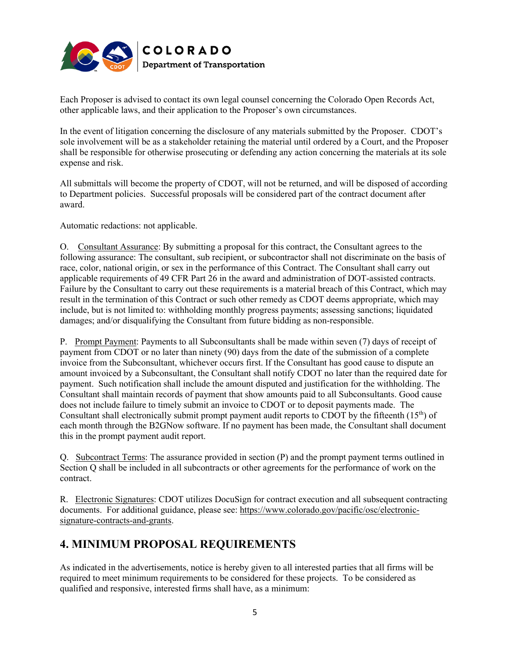

Each Proposer is advised to contact its own legal counsel concerning the Colorado Open Records Act, other applicable laws, and their application to the Proposer's own circumstances.

In the event of litigation concerning the disclosure of any materials submitted by the Proposer. CDOT's sole involvement will be as a stakeholder retaining the material until ordered by a Court, and the Proposer shall be responsible for otherwise prosecuting or defending any action concerning the materials at its sole expense and risk.

All submittals will become the property of CDOT, will not be returned, and will be disposed of according to Department policies. Successful proposals will be considered part of the contract document after award.

Automatic redactions: not applicable.

O. Consultant Assurance: By submitting a proposal for this contract, the Consultant agrees to the following assurance: The consultant, sub recipient, or subcontractor shall not discriminate on the basis of race, color, national origin, or sex in the performance of this Contract. The Consultant shall carry out applicable requirements of 49 CFR Part 26 in the award and administration of DOT-assisted contracts. Failure by the Consultant to carry out these requirements is a material breach of this Contract, which may result in the termination of this Contract or such other remedy as CDOT deems appropriate, which may include, but is not limited to: withholding monthly progress payments; assessing sanctions; liquidated damages; and/or disqualifying the Consultant from future bidding as non-responsible.

P. Prompt Payment: Payments to all Subconsultants shall be made within seven (7) days of receipt of payment from CDOT or no later than ninety (90) days from the date of the submission of a complete invoice from the Subconsultant, whichever occurs first. If the Consultant has good cause to dispute an amount invoiced by a Subconsultant, the Consultant shall notify CDOT no later than the required date for payment. Such notification shall include the amount disputed and justification for the withholding. The Consultant shall maintain records of payment that show amounts paid to all Subconsultants. Good cause does not include failure to timely submit an invoice to CDOT or to deposit payments made. The Consultant shall electronically submit prompt payment audit reports to CDOT by the fifteenth  $(15<sup>th</sup>)$  of each month through the B2GNow software. If no payment has been made, the Consultant shall document this in the prompt payment audit report.

Q. Subcontract Terms: The assurance provided in section (P) and the prompt payment terms outlined in Section Q shall be included in all subcontracts or other agreements for the performance of work on the contract.

R. Electronic Signatures: CDOT utilizes DocuSign for contract execution and all subsequent contracting documents. For additional guidance, please see: [https://www.colorado.gov/pacific/osc/electronic](https://www.colorado.gov/pacific/osc/electronic-signature-contracts-and-grants)[signature-contracts-and-grants.](https://www.colorado.gov/pacific/osc/electronic-signature-contracts-and-grants)

## **4. MINIMUM PROPOSAL REQUIREMENTS**

As indicated in the advertisements, notice is hereby given to all interested parties that all firms will be required to meet minimum requirements to be considered for these projects. To be considered as qualified and responsive, interested firms shall have, as a minimum: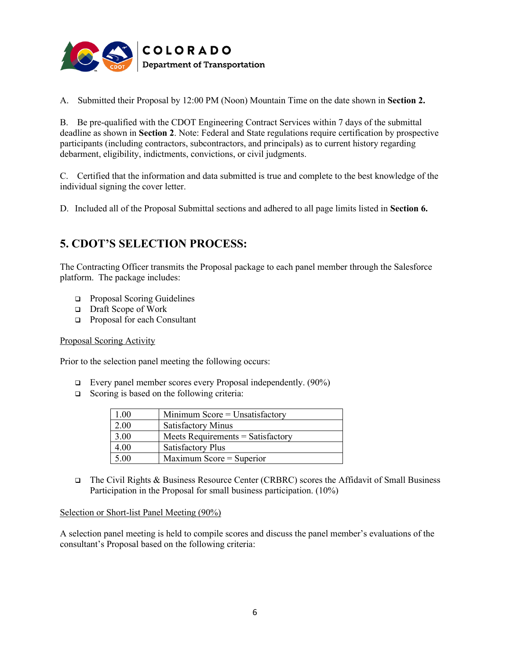

A. Submitted their Proposal by 12:00 PM (Noon) Mountain Time on the date shown in **Section 2.**

B. Be pre-qualified with the CDOT Engineering Contract Services within 7 days of the submittal deadline as shown in **Section 2**. Note: Federal and State regulations require certification by prospective participants (including contractors, subcontractors, and principals) as to current history regarding debarment, eligibility, indictments, convictions, or civil judgments.

C. Certified that the information and data submitted is true and complete to the best knowledge of the individual signing the cover letter.

D. Included all of the Proposal Submittal sections and adhered to all page limits listed in **Section 6.**

### **5. CDOT'S SELECTION PROCESS:**

The Contracting Officer transmits the Proposal package to each panel member through the Salesforce platform. The package includes:

- □ Proposal Scoring Guidelines
- □ Draft Scope of Work
- □ Proposal for each Consultant

#### Proposal Scoring Activity

Prior to the selection panel meeting the following occurs:

- $\Box$  Every panel member scores every Proposal independently. (90%)
- Scoring is based on the following criteria:

| 1.00 | Minimum Score $=$ Unsatisfactory  |
|------|-----------------------------------|
| 2.00 | <b>Satisfactory Minus</b>         |
| 3.00 | Meets Requirements = Satisfactory |
| 4.00 | <b>Satisfactory Plus</b>          |
| 5.00 | Maximum Score = Superior          |

□ The Civil Rights & Business Resource Center (CRBRC) scores the Affidavit of Small Business Participation in the Proposal for small business participation. (10%)

#### Selection or Short-list Panel Meeting (90%)

A selection panel meeting is held to compile scores and discuss the panel member's evaluations of the consultant's Proposal based on the following criteria: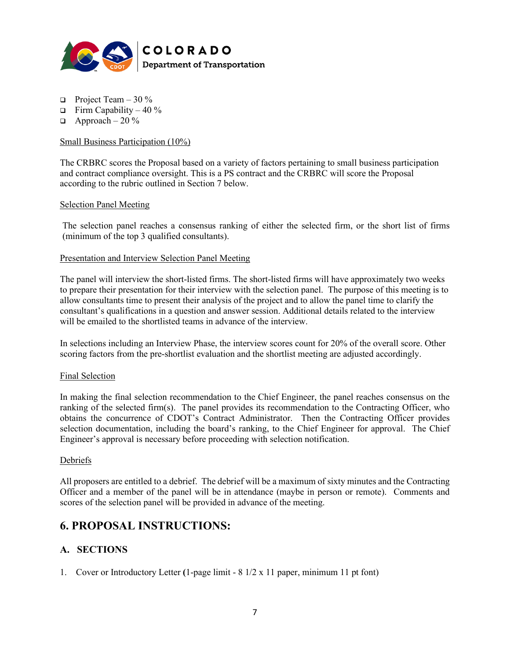

- **Project Team 30 %**
- $\Box$  Firm Capability 40 %
- $\Box$  Approach 20 %

#### Small Business Participation (10%)

The CRBRC scores the Proposal based on a variety of factors pertaining to small business participation and contract compliance oversight. This is a PS contract and the CRBRC will score the Proposal according to the rubric outlined in Section 7 below.

#### Selection Panel Meeting

The selection panel reaches a consensus ranking of either the selected firm, or the short list of firms (minimum of the top 3 qualified consultants).

#### Presentation and Interview Selection Panel Meeting

The panel will interview the short-listed firms. The short-listed firms will have approximately two weeks to prepare their presentation for their interview with the selection panel. The purpose of this meeting is to allow consultants time to present their analysis of the project and to allow the panel time to clarify the consultant's qualifications in a question and answer session. Additional details related to the interview will be emailed to the shortlisted teams in advance of the interview.

In selections including an Interview Phase, the interview scores count for 20% of the overall score. Other scoring factors from the pre-shortlist evaluation and the shortlist meeting are adjusted accordingly.

#### Final Selection

In making the final selection recommendation to the Chief Engineer, the panel reaches consensus on the ranking of the selected firm(s). The panel provides its recommendation to the Contracting Officer, who obtains the concurrence of CDOT's Contract Administrator. Then the Contracting Officer provides selection documentation, including the board's ranking, to the Chief Engineer for approval. The Chief Engineer's approval is necessary before proceeding with selection notification.

#### Debriefs

All proposers are entitled to a debrief. The debrief will be a maximum of sixty minutes and the Contracting Officer and a member of the panel will be in attendance (maybe in person or remote).Comments and scores of the selection panel will be provided in advance of the meeting.

### **6. PROPOSAL INSTRUCTIONS:**

### **A. SECTIONS**

1. Cover or Introductory Letter **(**1-page limit - 8 1/2 x 11 paper, minimum 11 pt font)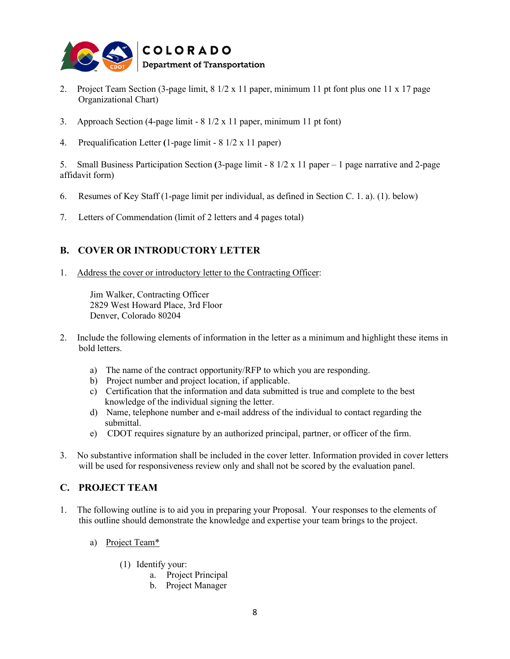

- 2. Project Team Section (3-page limit, 8 1/2 x 11 paper, minimum 11 pt font plus one 11 x 17 page Organizational Chart)
- 3. Approach Section (4-page limit 8 1/2 x 11 paper, minimum 11 pt font)
- 4. Prequalification Letter **(**1-page limit 8 1/2 x 11 paper)

5. Small Business Participation Section **(**3-page limit - 8 1/2 x 11 paper – 1 page narrative and 2-page affidavit form)

- 6. Resumes of Key Staff (1-page limit per individual, as defined in Section C. 1. a). (1). below)
- 7. Letters of Commendation (limit of 2 letters and 4 pages total)

### **B. COVER OR INTRODUCTORY LETTER**

1. Address the cover or introductory letter to the Contracting Officer:

Jim Walker, Contracting Officer 2829 West Howard Place, 3rd Floor Denver, Colorado 80204

- 2. Include the following elements of information in the letter as a minimum and highlight these items in bold letters.
	- a) The name of the contract opportunity/RFP to which you are responding.
	- b) Project number and project location, if applicable.
	- c) Certification that the information and data submitted is true and complete to the best knowledge of the individual signing the letter.
	- d) Name, telephone number and e-mail address of the individual to contact regarding the submittal.
	- e) CDOT requires signature by an authorized principal, partner, or officer of the firm.
- 3. No substantive information shall be included in the cover letter. Information provided in cover letters will be used for responsiveness review only and shall not be scored by the evaluation panel.

#### **C. PROJECT TEAM**

- 1. The following outline is to aid you in preparing your Proposal. Your responses to the elements of this outline should demonstrate the knowledge and expertise your team brings to the project.
	- a) Project Team\*
		- (1) Identify your:
			- a. Project Principal
			- b. Project Manager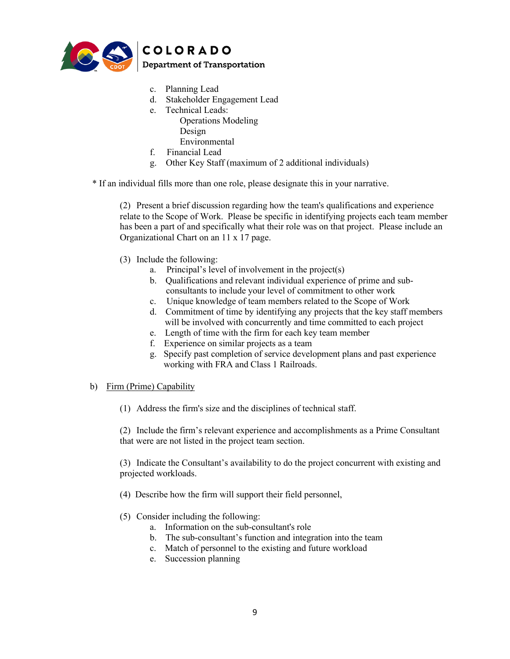

- c. Planning Lead
- d. Stakeholder Engagement Lead
- e. Technical Leads: Operations Modeling Design Environmental
- f. Financial Lead
- g. Other Key Staff (maximum of 2 additional individuals)

\* If an individual fills more than one role, please designate this in your narrative.

(2) Present a brief discussion regarding how the team's qualifications and experience relate to the Scope of Work. Please be specific in identifying projects each team member has been a part of and specifically what their role was on that project. Please include an Organizational Chart on an 11 x 17 page.

- (3) Include the following:
	- a. Principal's level of involvement in the project(s)
	- b. Qualifications and relevant individual experience of prime and sub consultants to include your level of commitment to other work
	- c. Unique knowledge of team members related to the Scope of Work
	- d. Commitment of time by identifying any projects that the key staff members will be involved with concurrently and time committed to each project
	- e. Length of time with the firm for each key team member
	- f. Experience on similar projects as a team
	- g. Specify past completion of service development plans and past experience working with FRA and Class 1 Railroads.

#### b) Firm (Prime) Capability

(1) Address the firm's size and the disciplines of technical staff.

(2) Include the firm's relevant experience and accomplishments as a Prime Consultant that were are not listed in the project team section.

(3) Indicate the Consultant's availability to do the project concurrent with existing and projected workloads.

- (4) Describe how the firm will support their field personnel,
- (5) Consider including the following:
	- a. Information on the sub-consultant's role
	- b. The sub-consultant's function and integration into the team
	- c. Match of personnel to the existing and future workload
	- e. Succession planning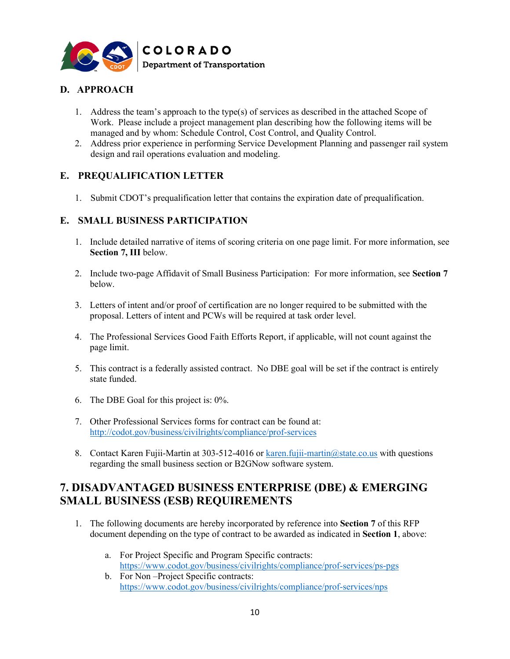

### **D. APPROACH**

- 1. Address the team's approach to the type(s) of services as described in the attached Scope of Work. Please include a project management plan describing how the following items will be managed and by whom: Schedule Control, Cost Control, and Quality Control.
- 2. Address prior experience in performing Service Development Planning and passenger rail system design and rail operations evaluation and modeling.

### **E. PREQUALIFICATION LETTER**

1. Submit CDOT's prequalification letter that contains the expiration date of prequalification.

### **E. SMALL BUSINESS PARTICIPATION**

- 1. Include detailed narrative of items of scoring criteria on one page limit. For more information, see **Section 7, III** below.
- 2. Include two-page Affidavit of Small Business Participation: For more information, see **Section 7** below.
- 3. Letters of intent and/or proof of certification are no longer required to be submitted with the proposal. Letters of intent and PCWs will be required at task order level.
- 4. The Professional Services Good Faith Efforts Report, if applicable, will not count against the page limit.
- 5. This contract is a federally assisted contract. No DBE goal will be set if the contract is entirely state funded.
- 6. The DBE Goal for this project is: 0%.
- 7. Other Professional Services forms for contract can be found at: <http://codot.gov/business/civilrights/compliance/prof-services>
- 8. Contact Karen Fujii-Martin at 303-512-4016 or [karen.fujii-martin@state.co.us](mailto:karen.fujii-martin@state.co.us) with questions regarding the small business section or B2GNow software system.

## **7. DISADVANTAGED BUSINESS ENTERPRISE (DBE) & EMERGING SMALL BUSINESS (ESB) REQUIREMENTS**

- 1. The following documents are hereby incorporated by reference into **Section 7** of this RFP document depending on the type of contract to be awarded as indicated in **Section 1**, above:
	- a. For Project Specific and Program Specific contracts: <https://www.codot.gov/business/civilrights/compliance/prof-services/ps-pgs>
	- b. For Non –Project Specific contracts: <https://www.codot.gov/business/civilrights/compliance/prof-services/nps>